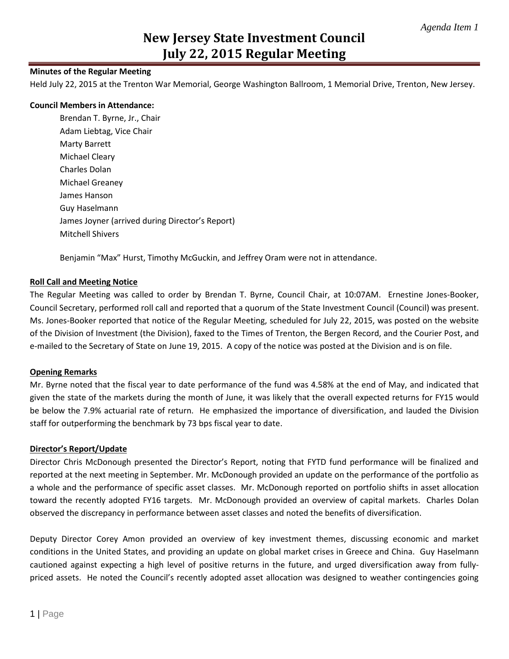# **New Jersey State Investment Council July 22, 2015 Regular Meeting**

### **Minutes of the Regular Meeting**

Held July 22, 2015 at the Trenton War Memorial, George Washington Ballroom, 1 Memorial Drive, Trenton, New Jersey.

#### **Council Members in Attendance:**

Brendan T. Byrne, Jr., Chair Adam Liebtag, Vice Chair Marty Barrett Michael Cleary Charles Dolan Michael Greaney James Hanson Guy Haselmann James Joyner (arrived during Director's Report) Mitchell Shivers

Benjamin "Max" Hurst, Timothy McGuckin, and Jeffrey Oram were not in attendance.

#### **Roll Call and Meeting Notice**

The Regular Meeting was called to order by Brendan T. Byrne, Council Chair, at 10:07AM. Ernestine Jones-Booker, Council Secretary, performed roll call and reported that a quorum of the State Investment Council (Council) was present. Ms. Jones-Booker reported that notice of the Regular Meeting, scheduled for July 22, 2015, was posted on the website of the Division of Investment (the Division), faxed to the Times of Trenton, the Bergen Record, and the Courier Post, and e-mailed to the Secretary of State on June 19, 2015. A copy of the notice was posted at the Division and is on file.

#### **Opening Remarks**

Mr. Byrne noted that the fiscal year to date performance of the fund was 4.58% at the end of May, and indicated that given the state of the markets during the month of June, it was likely that the overall expected returns for FY15 would be below the 7.9% actuarial rate of return. He emphasized the importance of diversification, and lauded the Division staff for outperforming the benchmark by 73 bps fiscal year to date.

#### **Director's Report/Update**

Director Chris McDonough presented the Director's Report, noting that FYTD fund performance will be finalized and reported at the next meeting in September. Mr. McDonough provided an update on the performance of the portfolio as a whole and the performance of specific asset classes. Mr. McDonough reported on portfolio shifts in asset allocation toward the recently adopted FY16 targets. Mr. McDonough provided an overview of capital markets. Charles Dolan observed the discrepancy in performance between asset classes and noted the benefits of diversification.

Deputy Director Corey Amon provided an overview of key investment themes, discussing economic and market conditions in the United States, and providing an update on global market crises in Greece and China. Guy Haselmann cautioned against expecting a high level of positive returns in the future, and urged diversification away from fullypriced assets. He noted the Council's recently adopted asset allocation was designed to weather contingencies going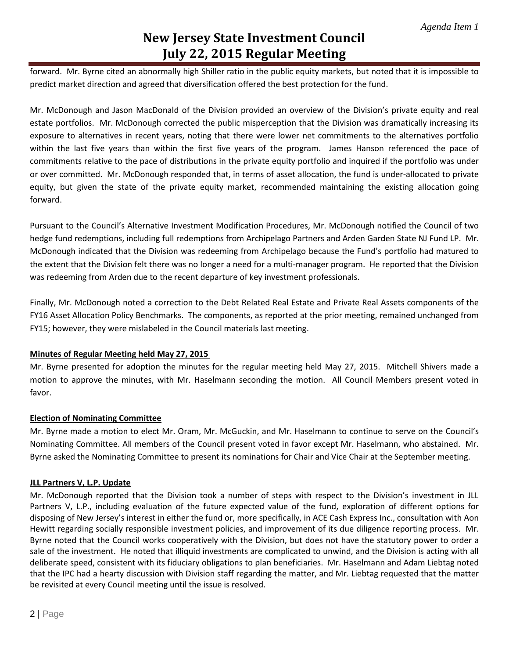# **New Jersey State Investment Council July 22, 2015 Regular Meeting**

forward. Mr. Byrne cited an abnormally high Shiller ratio in the public equity markets, but noted that it is impossible to predict market direction and agreed that diversification offered the best protection for the fund.

Mr. McDonough and Jason MacDonald of the Division provided an overview of the Division's private equity and real estate portfolios. Mr. McDonough corrected the public misperception that the Division was dramatically increasing its exposure to alternatives in recent years, noting that there were lower net commitments to the alternatives portfolio within the last five years than within the first five years of the program. James Hanson referenced the pace of commitments relative to the pace of distributions in the private equity portfolio and inquired if the portfolio was under or over committed. Mr. McDonough responded that, in terms of asset allocation, the fund is under-allocated to private equity, but given the state of the private equity market, recommended maintaining the existing allocation going forward.

Pursuant to the Council's Alternative Investment Modification Procedures, Mr. McDonough notified the Council of two hedge fund redemptions, including full redemptions from Archipelago Partners and Arden Garden State NJ Fund LP. Mr. McDonough indicated that the Division was redeeming from Archipelago because the Fund's portfolio had matured to the extent that the Division felt there was no longer a need for a multi-manager program. He reported that the Division was redeeming from Arden due to the recent departure of key investment professionals.

Finally, Mr. McDonough noted a correction to the Debt Related Real Estate and Private Real Assets components of the FY16 Asset Allocation Policy Benchmarks. The components, as reported at the prior meeting, remained unchanged from FY15; however, they were mislabeled in the Council materials last meeting.

### **Minutes of Regular Meeting held May 27, 2015**

Mr. Byrne presented for adoption the minutes for the regular meeting held May 27, 2015. Mitchell Shivers made a motion to approve the minutes, with Mr. Haselmann seconding the motion. All Council Members present voted in favor.

### **Election of Nominating Committee**

Mr. Byrne made a motion to elect Mr. Oram, Mr. McGuckin, and Mr. Haselmann to continue to serve on the Council's Nominating Committee. All members of the Council present voted in favor except Mr. Haselmann, who abstained. Mr. Byrne asked the Nominating Committee to present its nominations for Chair and Vice Chair at the September meeting.

## **JLL Partners V, L.P. Update**

Mr. McDonough reported that the Division took a number of steps with respect to the Division's investment in JLL Partners V, L.P., including evaluation of the future expected value of the fund, exploration of different options for disposing of New Jersey's interest in either the fund or, more specifically, in ACE Cash Express Inc., consultation with Aon Hewitt regarding socially responsible investment policies, and improvement of its due diligence reporting process. Mr. Byrne noted that the Council works cooperatively with the Division, but does not have the statutory power to order a sale of the investment. He noted that illiquid investments are complicated to unwind, and the Division is acting with all deliberate speed, consistent with its fiduciary obligations to plan beneficiaries. Mr. Haselmann and Adam Liebtag noted that the IPC had a hearty discussion with Division staff regarding the matter, and Mr. Liebtag requested that the matter be revisited at every Council meeting until the issue is resolved.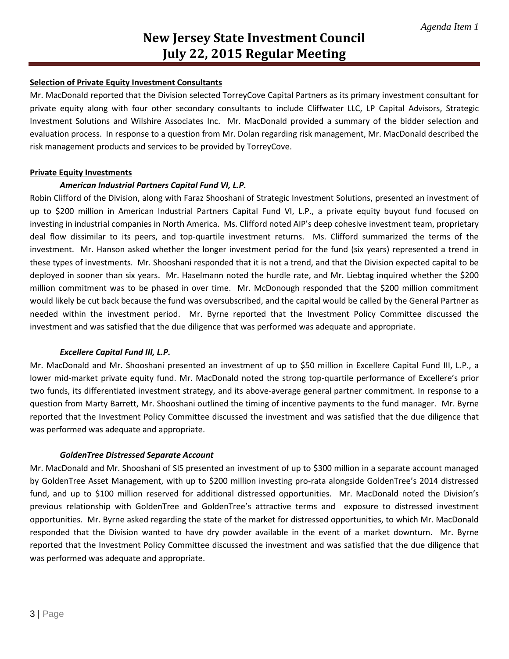### **Selection of Private Equity Investment Consultants**

Mr. MacDonald reported that the Division selected TorreyCove Capital Partners as its primary investment consultant for private equity along with four other secondary consultants to include Cliffwater LLC, LP Capital Advisors, Strategic Investment Solutions and Wilshire Associates Inc. Mr. MacDonald provided a summary of the bidder selection and evaluation process. In response to a question from Mr. Dolan regarding risk management, Mr. MacDonald described the risk management products and services to be provided by TorreyCove.

### **Private Equity Investments**

### *American Industrial Partners Capital Fund VI, L.P.*

Robin Clifford of the Division, along with Faraz Shooshani of Strategic Investment Solutions, presented an investment of up to \$200 million in American Industrial Partners Capital Fund VI, L.P., a private equity buyout fund focused on investing in industrial companies in North America. Ms. Clifford noted AIP's deep cohesive investment team, proprietary deal flow dissimilar to its peers, and top-quartile investment returns. Ms. Clifford summarized the terms of the investment. Mr. Hanson asked whether the longer investment period for the fund (six years) represented a trend in these types of investments. Mr. Shooshani responded that it is not a trend, and that the Division expected capital to be deployed in sooner than six years. Mr. Haselmann noted the hurdle rate, and Mr. Liebtag inquired whether the \$200 million commitment was to be phased in over time. Mr. McDonough responded that the \$200 million commitment would likely be cut back because the fund was oversubscribed, and the capital would be called by the General Partner as needed within the investment period. Mr. Byrne reported that the Investment Policy Committee discussed the investment and was satisfied that the due diligence that was performed was adequate and appropriate.

### *Excellere Capital Fund III, L.P.*

Mr. MacDonald and Mr. Shooshani presented an investment of up to \$50 million in Excellere Capital Fund III, L.P., a lower mid-market private equity fund. Mr. MacDonald noted the strong top-quartile performance of Excellere's prior two funds, its differentiated investment strategy, and its above-average general partner commitment. In response to a question from Marty Barrett, Mr. Shooshani outlined the timing of incentive payments to the fund manager. Mr. Byrne reported that the Investment Policy Committee discussed the investment and was satisfied that the due diligence that was performed was adequate and appropriate.

### *GoldenTree Distressed Separate Account*

Mr. MacDonald and Mr. Shooshani of SIS presented an investment of up to \$300 million in a separate account managed by GoldenTree Asset Management, with up to \$200 million investing pro-rata alongside GoldenTree's 2014 distressed fund, and up to \$100 million reserved for additional distressed opportunities. Mr. MacDonald noted the Division's previous relationship with GoldenTree and GoldenTree's attractive terms and exposure to distressed investment opportunities. Mr. Byrne asked regarding the state of the market for distressed opportunities, to which Mr. MacDonald responded that the Division wanted to have dry powder available in the event of a market downturn. Mr. Byrne reported that the Investment Policy Committee discussed the investment and was satisfied that the due diligence that was performed was adequate and appropriate.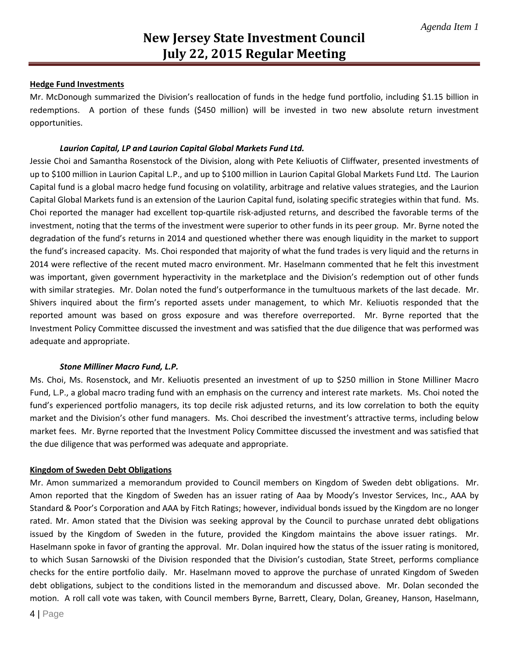### **Hedge Fund Investments**

Mr. McDonough summarized the Division's reallocation of funds in the hedge fund portfolio, including \$1.15 billion in redemptions. A portion of these funds (\$450 million) will be invested in two new absolute return investment opportunities.

#### *Laurion Capital, LP and Laurion Capital Global Markets Fund Ltd.*

Jessie Choi and Samantha Rosenstock of the Division, along with Pete Keliuotis of Cliffwater, presented investments of up to \$100 million in Laurion Capital L.P., and up to \$100 million in Laurion Capital Global Markets Fund Ltd. The Laurion Capital fund is a global macro hedge fund focusing on volatility, arbitrage and relative values strategies, and the Laurion Capital Global Markets fund is an extension of the Laurion Capital fund, isolating specific strategies within that fund. Ms. Choi reported the manager had excellent top-quartile risk-adjusted returns, and described the favorable terms of the investment, noting that the terms of the investment were superior to other funds in its peer group. Mr. Byrne noted the degradation of the fund's returns in 2014 and questioned whether there was enough liquidity in the market to support the fund's increased capacity. Ms. Choi responded that majority of what the fund trades is very liquid and the returns in 2014 were reflective of the recent muted macro environment. Mr. Haselmann commented that he felt this investment was important, given government hyperactivity in the marketplace and the Division's redemption out of other funds with similar strategies. Mr. Dolan noted the fund's outperformance in the tumultuous markets of the last decade. Mr. Shivers inquired about the firm's reported assets under management, to which Mr. Keliuotis responded that the reported amount was based on gross exposure and was therefore overreported. Mr. Byrne reported that the Investment Policy Committee discussed the investment and was satisfied that the due diligence that was performed was adequate and appropriate.

### *Stone Milliner Macro Fund, L.P.*

Ms. Choi, Ms. Rosenstock, and Mr. Keliuotis presented an investment of up to \$250 million in Stone Milliner Macro Fund, L.P., a global macro trading fund with an emphasis on the currency and interest rate markets. Ms. Choi noted the fund's experienced portfolio managers, its top decile risk adjusted returns, and its low correlation to both the equity market and the Division's other fund managers. Ms. Choi described the investment's attractive terms, including below market fees. Mr. Byrne reported that the Investment Policy Committee discussed the investment and was satisfied that the due diligence that was performed was adequate and appropriate.

### **Kingdom of Sweden Debt Obligations**

Mr. Amon summarized a memorandum provided to Council members on Kingdom of Sweden debt obligations. Mr. Amon reported that the Kingdom of Sweden has an issuer rating of Aaa by Moody's Investor Services, Inc., AAA by Standard & Poor's Corporation and AAA by Fitch Ratings; however, individual bonds issued by the Kingdom are no longer rated. Mr. Amon stated that the Division was seeking approval by the Council to purchase unrated debt obligations issued by the Kingdom of Sweden in the future, provided the Kingdom maintains the above issuer ratings. Mr. Haselmann spoke in favor of granting the approval. Mr. Dolan inquired how the status of the issuer rating is monitored, to which Susan Sarnowski of the Division responded that the Division's custodian, State Street, performs compliance checks for the entire portfolio daily. Mr. Haselmann moved to approve the purchase of unrated Kingdom of Sweden debt obligations, subject to the conditions listed in the memorandum and discussed above. Mr. Dolan seconded the motion. A roll call vote was taken, with Council members Byrne, Barrett, Cleary, Dolan, Greaney, Hanson, Haselmann,